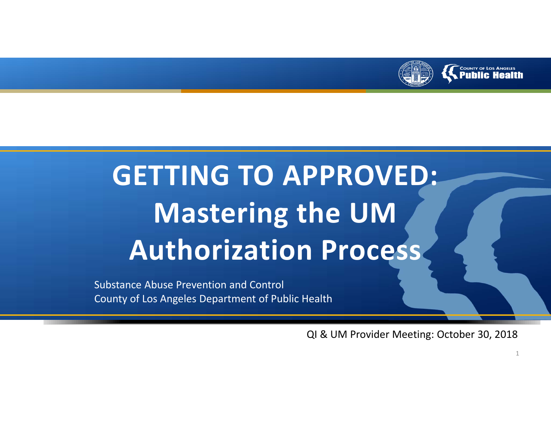

# **GETTING TO APPROVED: Mastering the UM Authorization Process**

Substance Abuse Prevention and Control County of Los Angeles Department of Public Health

QI & UM Provider Meeting: October 30, 2018

1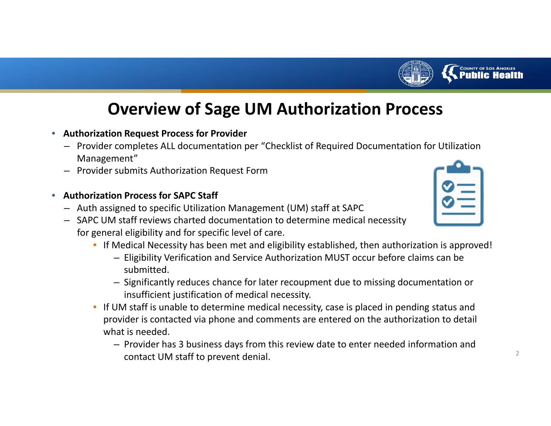

# **Overview of Sage UM Authorization Process**

- • **Authorization Request Process for Provider**
	- Provider completes ALL documentation per "Checklist of Required Documentation for Utilization Management"
	- –Provider submits Authorization Request Form
- $\bullet$  **Authorization Process for SAPC Staff**
	- Auth assigned to specific Utilization Management (UM) staff at SAPC
	- SAPC UM staff reviews charted documentation to determine medical necessity for general eligibility and for specific level of care.
		- If Medical Necessity has been met and eligibility established, then authorization is approved!
			- Eligibility Verification and Service Authorization MUST occur before claims can be submitted.
			- Significantly reduces chance for later recoupment due to missing documentation or insufficient justification of medical necessity.
		- If UM staff is unable to determine medical necessity, case is placed in pending status and provider is contacted via phone and comments are entered on the authorization to detail what is needed.
			- Provider has 3 business days from this review date to enter needed information and contact UM staff to prevent denial.  $2^2$



COUNTY OF LOS ANGELES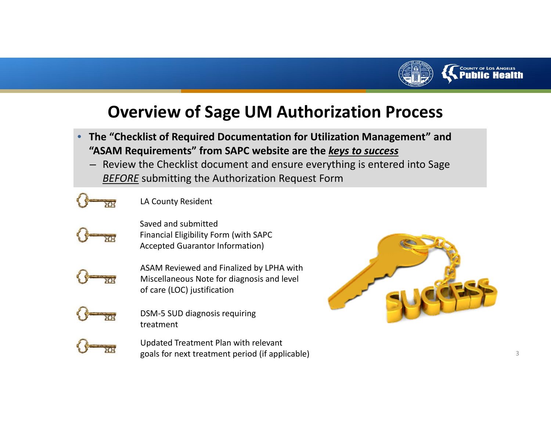

# **Overview of Sage UM Authorization Process**

- • **The "Checklist of Required Documentation for Utilization Management" and "ASAM Requirements" from SAPC website are the** *keys to success*
	- Review the Checklist document and ensure everything is entered into Sage *BEFORE* submitting the Authorization Request Form



LA County Resident



Saved and submitted Financial Eligibility Form (with SAPC Accepted Guarantor Information)



ASAM Reviewed and Finalized by LPHA with Miscellaneous Note for diagnosis and level of care (LOC) justification



DSM‐5 SUD diagnosis requiring treatment



Updated Treatment Plan with relevant goals for next treatment period (if applicable) <sup>3</sup>

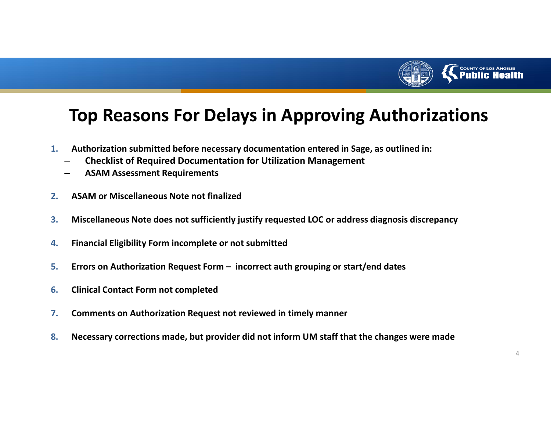

# **Top Reasons For Delays in Approving Authorizations**

- **1. Authorization submitted before necessary documentation entered in Sage, as outlined in:**
	- –**Checklist of Required Documentation for Utilization Management**
	- **ASAM Assessment Requirements**
- **2.ASAM or Miscellaneous Note not finalized**
- **3.Miscellaneous Note does not sufficiently justify requested LOC or address diagnosis discrepancy**
- **4.Financial Eligibility Form incomplete or not submitted**
- **5.Errors on Authorization Request Form – incorrect auth grouping or start/end dates**
- **6.Clinical Contact Form not completed**
- **7.Comments on Authorization Request not reviewed in timely manner**
- **8.Necessary corrections made, but provider did not inform UM staff that the changes were made**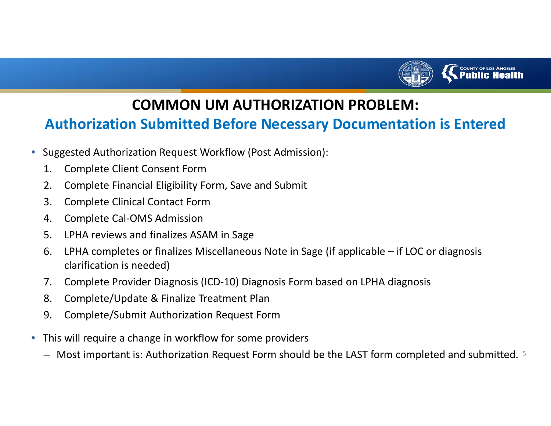

# **Authorization Submitted Before Necessary Documentation is Entered**

- $\bullet$  Suggested Authorization Request Workflow (Post Admission):
	- 1. Complete Client Consent Form
	- 2. Complete Financial Eligibility Form, Save and Submit
	- 3. Complete Clinical Contact Form
	- 4. Complete Cal‐OMS Admission
	- 5. LPHA reviews and finalizes ASAM in Sage
	- 6. LPHA completes or finalizes Miscellaneous Note in Sage (if applicable if LOC or diagnosis clarification is needed)
	- 7. Complete Provider Diagnosis (ICD‐10) Diagnosis Form based on LPHA diagnosis
	- 8. Complete/Update & Finalize Treatment Plan
	- 9. Complete/Submit Authorization Request Form
- $\bullet$  This will require <sup>a</sup> change in workflow for some providers
	- $-$  Most important is: Authorization Request Form should be the LAST form completed and submitted.  $5$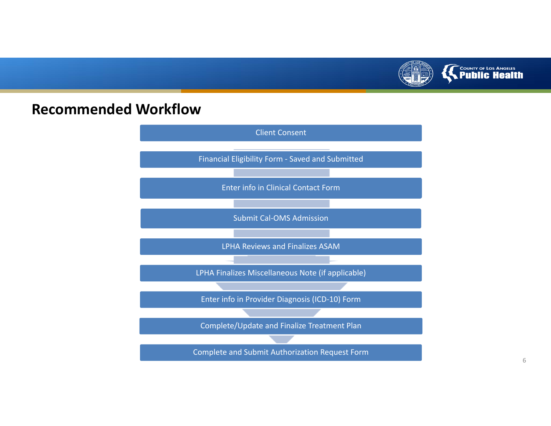

# **Recommended Workflow**

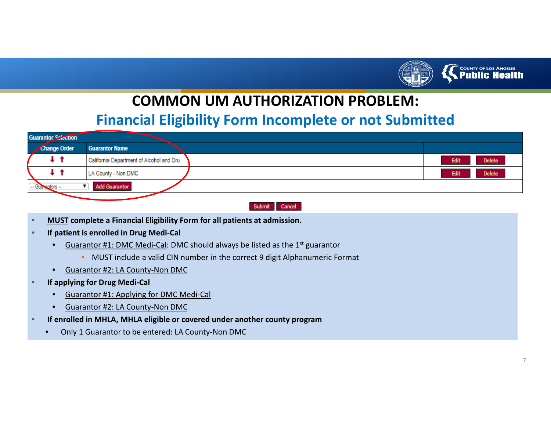

#### **Financial Eligibility Form Incomplete or not Submitted**

| <b>Guarantor Sciection</b>        |              |                                          |                       |  |  |
|-----------------------------------|--------------|------------------------------------------|-----------------------|--|--|
|                                   | Change Order | <b>Guarantor Name</b>                    |                       |  |  |
|                                   | t t          | California Department of Alcohol and Dru | <b>Delete</b><br>Edit |  |  |
|                                   | t t          | LA County - Non DMC                      | <b>Delete</b><br>Edit |  |  |
| Add Guarantor<br>-- Guarantors -- |              |                                          |                       |  |  |
|                                   |              |                                          |                       |  |  |



- •**MUST complete <sup>a</sup> Financial Eligibility Form for all patients at admission.**
- • **If patient is enrolled in Drug Medi‐Cal**
	- •**•** Guarantor #1: DMC Medi-Cal: DMC should always be listed as the 1<sup>st</sup> guarantor
		- MUST include <sup>a</sup> valid CIN number in the correct 9 digit Alphanumeric Format
	- •● Guarantor #2: LA County-Non DMC
- • **If applying for Drug Medi‐Cal**
	- •Guarantor #1: Applying for DMC Medi‐Cal
	- •● Guarantor #2: LA County-Non DMC
- • **If enrolled in MHLA, MHLA eligible or covered under another county program**
	- •Only 1 Guarantor to be entered: LA County‐Non DMC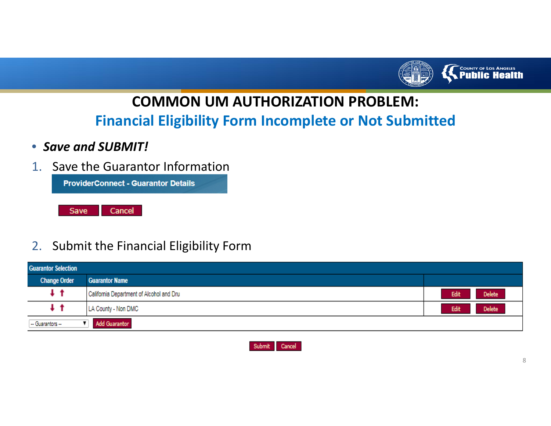

**Financial Eligibility Form Incomplete or Not Submitted**

- *Save and SUBMIT!*
- 1. Save the Guarantor Information



#### 2. Submit the Financial Eligibility Form

| <b>Guarantor Selection</b>               |                                          |                       |  |  |
|------------------------------------------|------------------------------------------|-----------------------|--|--|
| <b>Change Order</b>                      | <b>Guarantor Name</b>                    |                       |  |  |
| $+$ t                                    | California Department of Alcohol and Dru | Edit<br><b>Delete</b> |  |  |
| t t                                      | LA County - Non DMC                      | Edit<br><b>Delete</b> |  |  |
| <b>Add Guarantor</b><br>-- Guarantors -- |                                          |                       |  |  |

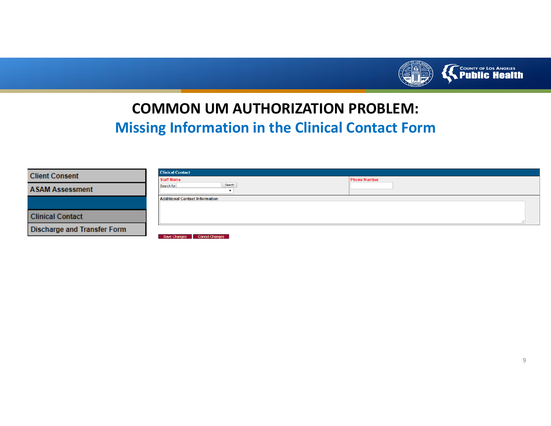

# **COMMON UM AUTHORIZATION PROBLEM: Missing Information in the Clinical Contact Form**

| <b>Client Consent</b>       | <b>Clinical Contact</b>               |                     |  |
|-----------------------------|---------------------------------------|---------------------|--|
|                             | <b>Staff Name</b>                     | <b>Phone Number</b> |  |
| <b>ASAM Assessment</b>      | Search<br>Search for:                 |                     |  |
|                             | <b>Additional Contact Information</b> |                     |  |
|                             |                                       |                     |  |
| <b>Clinical Contact</b>     |                                       |                     |  |
| Discharge and Transfer Form | Save Changes Cancel Changes           |                     |  |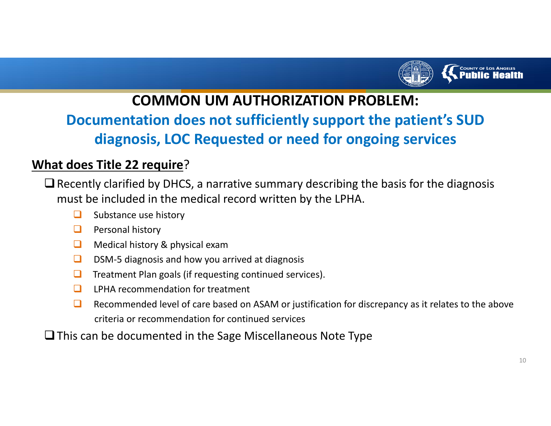

# **Documentation does not sufficiently support the patient's SUD diagnosis, LOC Requested or need for ongoing services**

#### **What does Title 22 require**?

- $\Box$  Recently clarified by DHCS, a narrative summary describing the basis for the diagnosis must be included in the medical record written by the LPHA.
	- $\Box$ Substance use history
	- ❏ Personal history
	- $\Box$ Medical history & physical exam
	- $\Box$ DSM‐5 diagnosis and how you arrived at diagnosis
	- $\Box$ Treatment Plan goals (if requesting continued services).
	- $\Box$ LPHA recommendation for treatment
	- $\Box$  Recommended level of care based on ASAM or justification for discrepancy as it relates to the above criteria or recommendation for continued services
- $\square$  This can be documented in the Sage Miscellaneous Note Type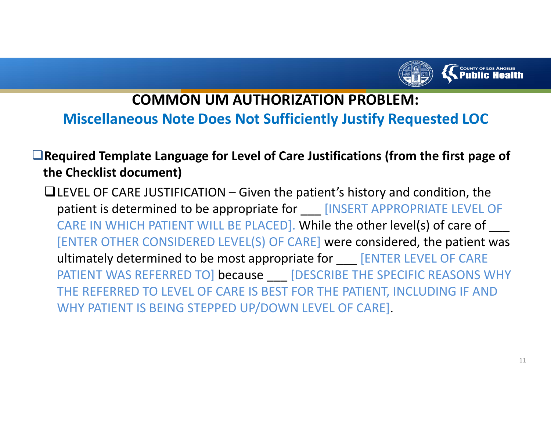

### **Miscellaneous Note Does Not Sufficiently Justify Requested LOC**

### **Required Template Language for Level of Care Justifications (from the first page of the Checklist document)**

 $\blacksquare$ LEVEL OF CARE JUSTIFICATION – Given the patient's history and condition, the patient is determined to be appropriate for \_\_\_ [INSERT APPROPRIATE LEVEL OF CARE IN WHICH PATIENT WILL BE PLACED]. While the other level(s) of care of \_\_\_\_ [ENTER OTHER CONSIDERED LEVEL(S) OF CARE] were considered, the patient was ultimately determined to be most appropriate for \_\_\_ [ENTER LEVEL OF CARE PATIENT WAS REFERRED TO] because \_\_\_ [DESCRIBE THE SPECIFIC REASONS WHY THE REFERRED TO LEVEL OF CARE IS BEST FOR THE PATIENT, INCLUDING IF AND WHY PATIENT IS BEING STEPPED UP/DOWN LEVEL OF CARE].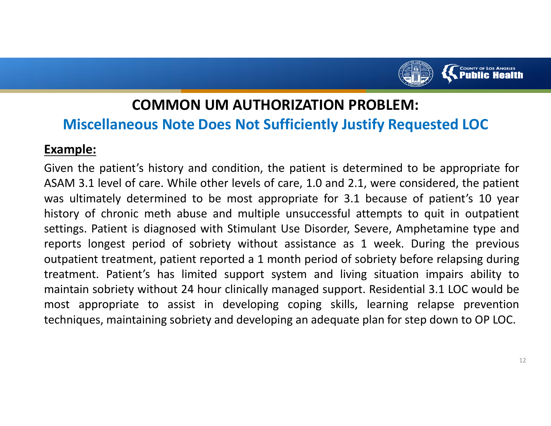

### **Miscellaneous Note Does Not Sufficiently Justify Requested LOC**

#### **Example:**

Given the patient's history and condition, the patient is determined to be appropriate for ASAM 3.1 level of care. While other levels of care, 1.0 and 2.1, were considered, the patient was ultimately determined to be most appropriate for 3.1 because of patient's 10 year history of chronic meth abuse and multiple unsuccessful attempts to quit in outpatient settings. Patient is diagnosed with Stimulant Use Disorder, Severe, Amphetamine type and reports longest period of sobriety without assistance as 1 week. During the previous outpatient treatment, patient reported <sup>a</sup> 1 month period of sobriety before relapsing during treatment. Patient's has limited support system and living situation impairs ability to maintain sobriety without 24 hour clinically managed support. Residential 3.1 LOC would be most appropriate to assist in developing coping skills, learning relapse prevention techniques, maintaining sobriety and developing an adequate plan for step down to OP LOC.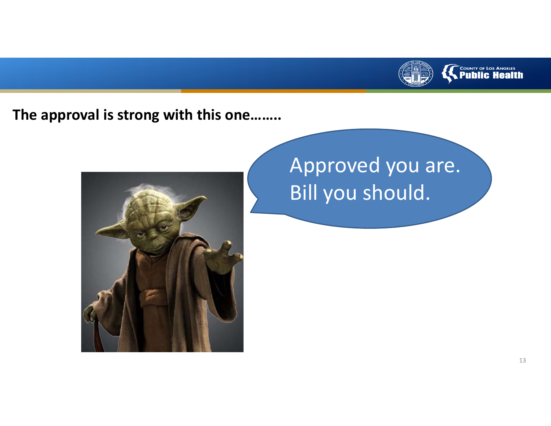

### **The approval is strong with this one……..**



# Approved you are. Bill you should.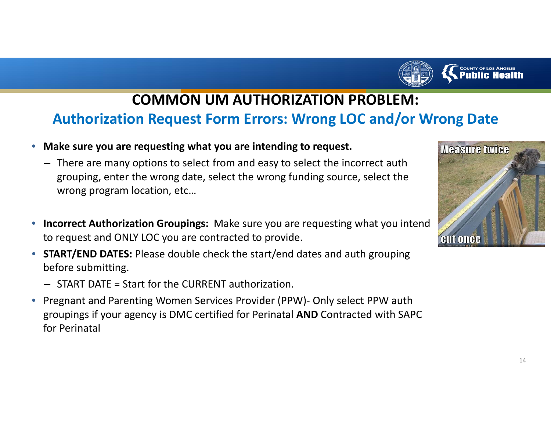

# **COMMON UM AUTHORIZATION PROBLEM: Authorization Request Form Errors: Wrong LOC and/or Wrong Date**

- $\bullet$  **Make sure you are requesting what you are intending to request.**
	- There are many options to select from and easy to select the incorrect auth grouping, enter the wrong date, select the wrong funding source, select the wrong program location, etc…
- $\bullet$  **Incorrect Authorization Groupings:** Make sure you are requesting what you intend to request and ONLY LOC you are contracted to provide.
- • **START/END DATES:** Please double check the start/end dates and auth grouping before submitting.
	- START DATE <sup>=</sup> Start for the CURRENT authorization.
- $\bullet$  Pregnant and Parenting Women Services Provider (PPW)‐ Only select PPW auth groupings if your agency is DMC certified for Perinatal **AND** Contracted with SAPC for Perinatal

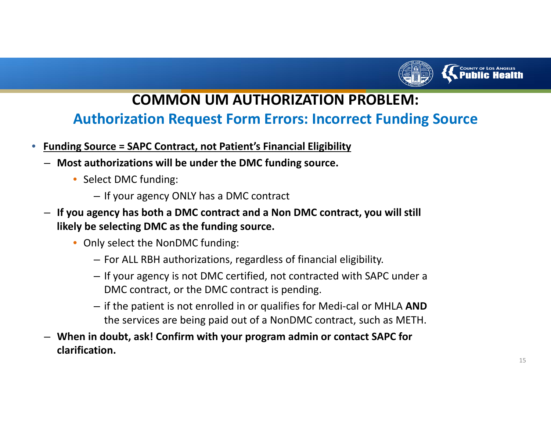

### **Authorization Request Form Errors: Incorrect Funding Source**

- $\bullet$  **Funding Source <sup>=</sup> SAPC Contract, not Patient's Financial Eligibility**
	- **Most authorizations will be under the DMC funding source.**
		- Select DMC funding:
			- If your agency ONLY has <sup>a</sup> DMC contract
	- **If you agency has both <sup>a</sup> DMC contract and <sup>a</sup> Non DMC contract, you will still likely be selecting DMC as the funding source.**
		- Only select the NonDMC funding:
			- For ALL RBH authorizations, regardless of financial eligibility.
			- If your agency is not DMC certified, not contracted with SAPC under <sup>a</sup> DMC contract, or the DMC contract is pending.
			- if the patient is not enrolled in or qualifies for Medi‐cal or MHLA **AND** the services are being paid out of <sup>a</sup> NonDMC contract, such as METH.
	- **When in doubt, ask! Confirm with your program admin or contact SAPC for clarification.**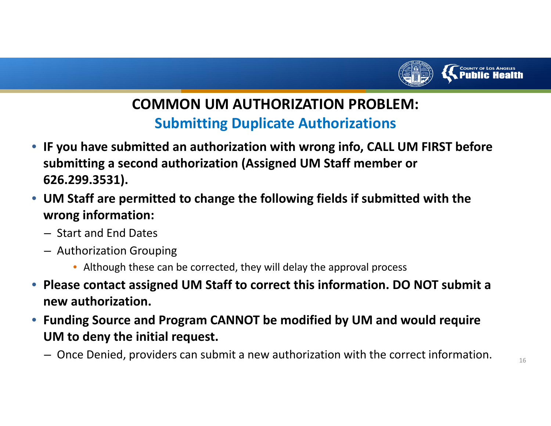

# **COMMON UM AUTHORIZATION PROBLEM: Submitting Duplicate Authorizations**

- **IF you have submitted an authorization with wrong info, CALL UM FIRST before submitting <sup>a</sup> second authorization (Assigned UM Staff member or 626.299.3531).**
- **UM Staff are permitted to change the following fields if submitted with the wrong information:**
	- Start and End Dates
	- Authorization Grouping
		- Although these can be corrected, they will delay the approval process
- **Please contact assigned UM Staff to correct this information. DO NOT submit <sup>a</sup> new authorization.**
- **Funding Source and Program CANNOT be modified by UM and would require UM to deny the initial request.**
	- $-$  Once Denied, providers can submit a new authorization with the correct information.  $\qquad \qquad _{16}$